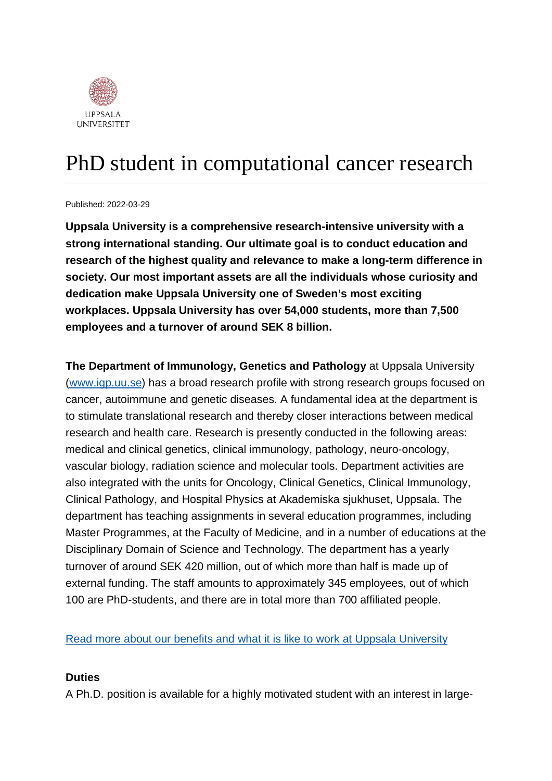

# PhD student in computational cancer research

Published: 2022-03-29

**Uppsala University is a comprehensive research-intensive university with a strong international standing. Our ultimate goal is to conduct education and research of the highest quality and relevance to make a long-term difference in society. Our most important assets are all the individuals whose curiosity and dedication make Uppsala University one of Sweden's most exciting workplaces. Uppsala University has over 54,000 students, more than 7,500 employees and a turnover of around SEK 8 billion.**

**The Department of Immunology, Genetics and Pathology** at Uppsala University [\(www.igp.uu.se\)](http://www.igp.uu.se/) has a broad research profile with strong research groups focused on cancer, autoimmune and genetic diseases. A fundamental idea at the department is to stimulate translational research and thereby closer interactions between medical research and health care. Research is presently conducted in the following areas: medical and clinical genetics, clinical immunology, pathology, neuro-oncology, vascular biology, radiation science and molecular tools. Department activities are also integrated with the units for Oncology, Clinical Genetics, Clinical Immunology, Clinical Pathology, and Hospital Physics at Akademiska sjukhuset, Uppsala. The department has teaching assignments in several education programmes, including Master Programmes, at the Faculty of Medicine, and in a number of educations at the Disciplinary Domain of Science and Technology. The department has a yearly turnover of around SEK 420 million, out of which more than half is made up of external funding. The staff amounts to approximately 345 employees, out of which 100 are PhD-students, and there are in total more than 700 affiliated people.

[Read more about our benefits and what it is like to work at Uppsala University](https://www.uu.se/en/about-uu/join-us/)

#### **Duties**

A Ph.D. position is available for a highly motivated student with an interest in large-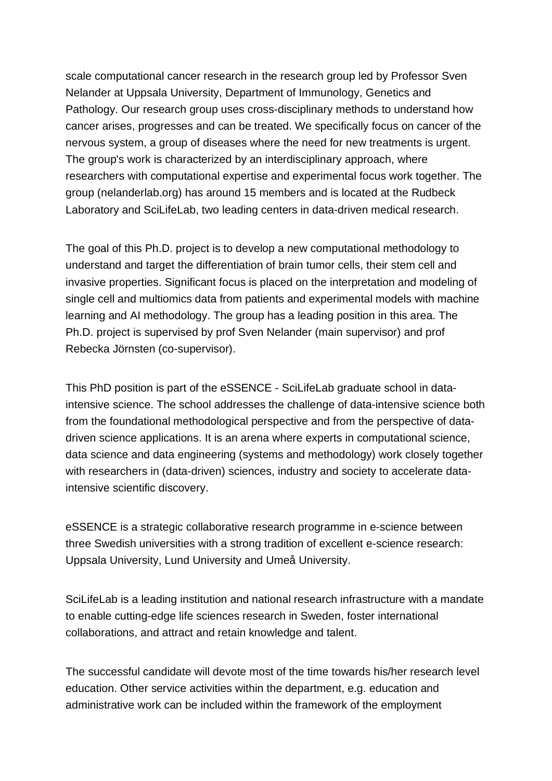scale computational cancer research in the research group led by Professor Sven Nelander at Uppsala University, Department of Immunology, Genetics and Pathology. Our research group uses cross-disciplinary methods to understand how cancer arises, progresses and can be treated. We specifically focus on cancer of the nervous system, a group of diseases where the need for new treatments is urgent. The group's work is characterized by an interdisciplinary approach, where researchers with computational expertise and experimental focus work together. The group (nelanderlab.org) has around 15 members and is located at the Rudbeck Laboratory and SciLifeLab, two leading centers in data-driven medical research.

The goal of this Ph.D. project is to develop a new computational methodology to understand and target the differentiation of brain tumor cells, their stem cell and invasive properties. Significant focus is placed on the interpretation and modeling of single cell and multiomics data from patients and experimental models with machine learning and AI methodology. The group has a leading position in this area. The Ph.D. project is supervised by prof Sven Nelander (main supervisor) and prof Rebecka Jörnsten (co-supervisor).

This PhD position is part of the eSSENCE - SciLifeLab graduate school in dataintensive science. The school addresses the challenge of data-intensive science both from the foundational methodological perspective and from the perspective of datadriven science applications. It is an arena where experts in computational science, data science and data engineering (systems and methodology) work closely together with researchers in (data-driven) sciences, industry and society to accelerate dataintensive scientific discovery.

eSSENCE is a strategic collaborative research programme in e-science between three Swedish universities with a strong tradition of excellent e-science research: Uppsala University, Lund University and Umeå University.

SciLifeLab is a leading institution and national research infrastructure with a mandate to enable cutting-edge life sciences research in Sweden, foster international collaborations, and attract and retain knowledge and talent.

The successful candidate will devote most of the time towards his/her research level education. Other service activities within the department, e.g. education and administrative work can be included within the framework of the employment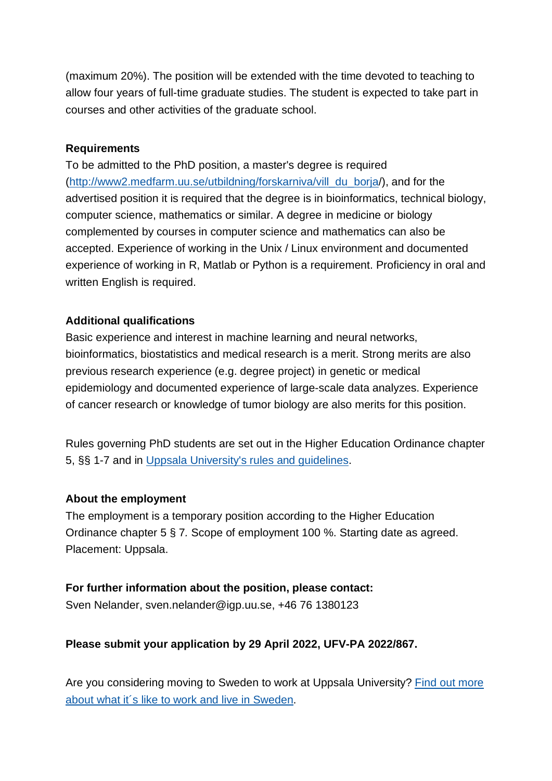(maximum 20%). The position will be extended with the time devoted to teaching to allow four years of full-time graduate studies. The student is expected to take part in courses and other activities of the graduate school.

#### **Requirements**

To be admitted to the PhD position, a master's degree is required [\(http://www2.medfarm.uu.se/utbildning/forskarniva/vill\\_du\\_borja/](http://www2.medfarm.uu.se/utbildning/forskarniva/vill_du_borja)), and for the advertised position it is required that the degree is in bioinformatics, technical biology, computer science, mathematics or similar. A degree in medicine or biology complemented by courses in computer science and mathematics can also be accepted. Experience of working in the Unix / Linux environment and documented experience of working in R, Matlab or Python is a requirement. Proficiency in oral and written English is required.

## **Additional qualifications**

Basic experience and interest in machine learning and neural networks, bioinformatics, biostatistics and medical research is a merit. Strong merits are also previous research experience (e.g. degree project) in genetic or medical epidemiology and documented experience of large-scale data analyzes. Experience of cancer research or knowledge of tumor biology are also merits for this position.

Rules governing PhD students are set out in the Higher Education Ordinance chapter 5, §§ 1-7 and in [Uppsala University's rules and guidelines.](https://regler.uu.se/?languageId=1)

## **About the employment**

The employment is a temporary position according to the Higher Education Ordinance chapter 5 § 7*.* Scope of employment 100 %. Starting date as agreed. Placement: Uppsala.

## **For further information about the position, please contact:**

Sven Nelander, sven.nelander@igp.uu.se, +46 76 1380123

## **Please submit your application by 29 April 2022, UFV-PA 2022/867.**

Are you considering moving to Sweden to work at Uppsala University? [Find out more](https://www.uu.se/en/about-uu/join-us/advantages/)  [about what it´s like to work and live in](https://www.uu.se/en/about-uu/join-us/advantages/) Sweden.